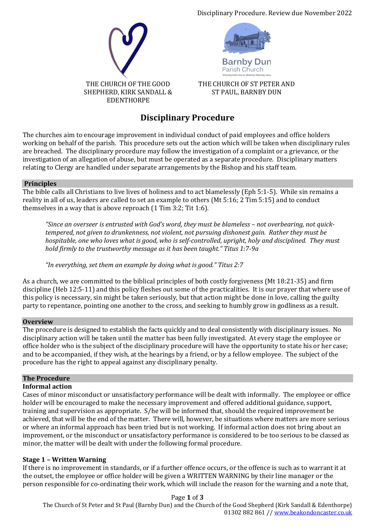



**Barnby Dun** Parish Church

THE CHURCH OF ST PETER AND ST PAUL, BARNBY DUN

# **Disciplinary Procedure**

The churches aim to encourage improvement in individual conduct of paid employees and office holders working on behalf of the parish. This procedure sets out the action which will be taken when disciplinary rules are breached. The disciplinary procedure may follow the investigation of a complaint or a grievance, or the investigation of an allegation of abuse, but must be operated as a separate procedure. Disciplinary matters relating to Clergy are handled under separate arrangements by the Bishop and his staff team.

## **Principles**

The bible calls all Christians to live lives of holiness and to act blamelessly (Eph 5:1-5). While sin remains a reality in all of us, leaders are called to set an example to others (Mt 5:16; 2 Tim 5:15) and to conduct themselves in a way that is above reproach (1 Tim 3:2; Tit 1:6).

*"Since an overseer is entrusted with God's word, they must be blameless – not overbearing, not quicktempered, not given to drunkenness, not violent, not pursuing dishonest gain. Rather they must be hospitable, one who loves what is good, who is self-controlled, upright, holy and disciplined. They must hold firmly to the trustworthy message as it has been taught." Titus 1:7-9a*

*"In everything, set them an example by doing what is good." Titus 2:7*

As a church, we are committed to the biblical principles of both costly forgiveness (Mt 18:21-35) and firm discipline (Heb 12:5-11) and this policy fleshes out some of the practicalities. It is our prayer that where use of this policy is necessary, sin might be taken seriously, but that action might be done in love, calling the guilty party to repentance, pointing one another to the cross, and seeking to humbly grow in godliness as a result.

## **Overview**

The procedure is designed to establish the facts quickly and to deal consistently with disciplinary issues. No disciplinary action will be taken until the matter has been fully investigated. At every stage the employee or office holder who is the subject of the disciplinary procedure will have the opportunity to state his or her case; and to be accompanied, if they wish, at the hearings by a friend, or by a fellow employee. The subject of the procedure has the right to appeal against any disciplinary penalty.

## **The Procedure**

#### **Informal action**

Cases of minor misconduct or unsatisfactory performance will be dealt with informally. The employee or office holder will be encouraged to make the necessary improvement and offered additional guidance, support, training and supervision as appropriate. S/he will be informed that, should the required improvement be achieved, that will be the end of the matter. There will, however, be situations where matters are more serious or where an informal approach has been tried but is not working. If informal action does not bring about an improvement, or the misconduct or unsatisfactory performance is considered to be too serious to be classed as minor, the matter will be dealt with under the following formal procedure.

## **Stage 1 – Written Warning**

If there is no improvement in standards, or if a further offence occurs, or the offence is such as to warrant it at the outset, the employee or office holder will be given a WRITTEN WARNING by their line manager or the person responsible for co-ordinating their work, which will include the reason for the warning and a note that,

Page **1** of **3** The Church of St Peter and St Paul (Barnby Dun) and the Church of the Good Shepherd (Kirk Sandall & Edenthorpe) 01302 882 861 /[/ www.beakondoncaster.co.uk](http://www.beakondoncaster.co.uk/)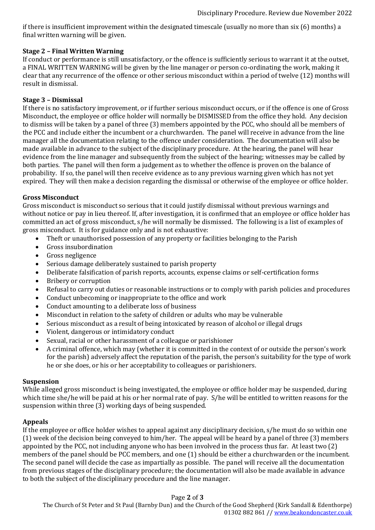if there is insufficient improvement within the designated timescale (usually no more than six (6) months) a final written warning will be given.

## **Stage 2 – Final Written Warning**

If conduct or performance is still unsatisfactory, or the offence is sufficiently serious to warrant it at the outset, a FINAL WRITTEN WARNING will be given by the line manager or person co-ordinating the work, making it clear that any recurrence of the offence or other serious misconduct within a period of twelve (12) months will result in dismissal.

#### **Stage 3 – Dismissal**

If there is no satisfactory improvement, or if further serious misconduct occurs, or if the offence is one of Gross Misconduct, the employee or office holder will normally be DISMISSED from the office they hold. Any decision to dismiss will be taken by a panel of three (3) members appointed by the PCC, who should all be members of the PCC and include either the incumbent or a churchwarden. The panel will receive in advance from the line manager all the documentation relating to the offence under consideration. The documentation will also be made available in advance to the subject of the disciplinary procedure. At the hearing, the panel will hear evidence from the line manager and subsequently from the subject of the hearing; witnesses may be called by both parties. The panel will then form a judgement as to whether the offence is proven on the balance of probability. If so, the panel will then receive evidence as to any previous warning given which has not yet expired. They will then make a decision regarding the dismissal or otherwise of the employee or office holder.

## **Gross Misconduct**

Gross misconduct is misconduct so serious that it could justify dismissal without previous warnings and without notice or pay in lieu thereof. If, after investigation, it is confirmed that an employee or office holder has committed an act of gross misconduct, s/he will normally be dismissed. The following is a list of examples of gross misconduct. It is for guidance only and is not exhaustive:

- Theft or unauthorised possession of any property or facilities belonging to the Parish
- Gross insubordination
- Gross negligence
- Serious damage deliberately sustained to parish property
- Deliberate falsification of parish reports, accounts, expense claims or self-certification forms
- Bribery or corruption
- Refusal to carry out duties or reasonable instructions or to comply with parish policies and procedures
- Conduct unbecoming or inappropriate to the office and work
- Conduct amounting to a deliberate loss of business
- Misconduct in relation to the safety of children or adults who may be vulnerable
- Serious misconduct as a result of being intoxicated by reason of alcohol or illegal drugs
- Violent, dangerous or intimidatory conduct
- Sexual, racial or other harassment of a colleague or parishioner
- A criminal offence, which may (whether it is committed in the context of or outside the person's work for the parish) adversely affect the reputation of the parish, the person's suitability for the type of work he or she does, or his or her acceptability to colleagues or parishioners.

#### **Suspension**

While alleged gross misconduct is being investigated, the employee or office holder may be suspended, during which time she/he will be paid at his or her normal rate of pay. S/he will be entitled to written reasons for the suspension within three (3) working days of being suspended.

#### **Appeals**

If the employee or office holder wishes to appeal against any disciplinary decision, s/he must do so within one (1) week of the decision being conveyed to him/her. The appeal will be heard by a panel of three (3) members appointed by the PCC, not including anyone who has been involved in the process thus far. At least two (2) members of the panel should be PCC members, and one (1) should be either a churchwarden or the incumbent. The second panel will decide the case as impartially as possible. The panel will receive all the documentation from previous stages of the disciplinary procedure; the documentation will also be made available in advance to both the subject of the disciplinary procedure and the line manager.

#### Page **2** of **3**